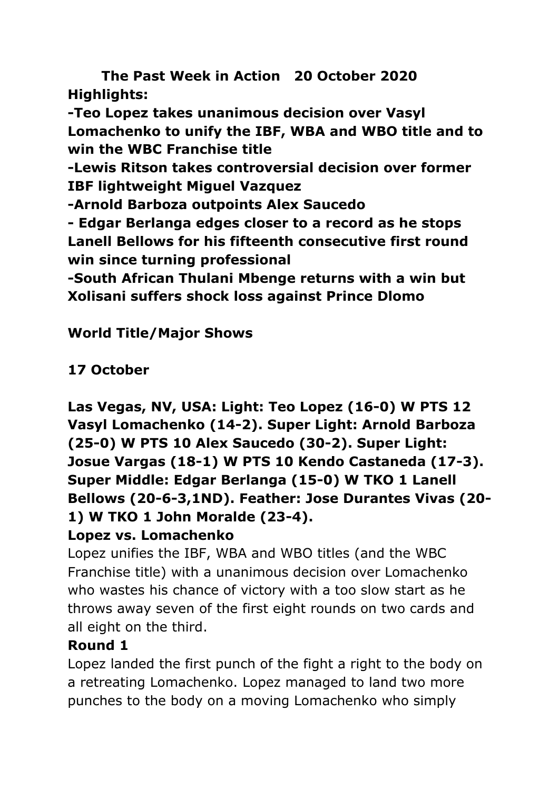**The Past Week in Action 20 October 2020 Highlights:**

**-Teo Lopez takes unanimous decision over Vasyl Lomachenko to unify the IBF, WBA and WBO title and to win the WBC Franchise title**

**-Lewis Ritson takes controversial decision over former IBF lightweight Miguel Vazquez** 

**-Arnold Barboza outpoints Alex Saucedo**

**- Edgar Berlanga edges closer to a record as he stops Lanell Bellows for his fifteenth consecutive first round win since turning professional**

**-South African Thulani Mbenge returns with a win but Xolisani suffers shock loss against Prince Dlomo**

# **World Title/Major Shows**

# **17 October**

**Las Vegas, NV, USA: Light: Teo Lopez (16-0) W PTS 12 Vasyl Lomachenko (14-2). Super Light: Arnold Barboza (25-0) W PTS 10 Alex Saucedo (30-2). Super Light: Josue Vargas (18-1) W PTS 10 Kendo Castaneda (17-3). Super Middle: Edgar Berlanga (15-0) W TKO 1 Lanell Bellows (20-6-3,1ND). Feather: Jose Durantes Vivas (20- 1) W TKO 1 John Moralde (23-4).**

# **Lopez vs. Lomachenko**

Lopez unifies the IBF, WBA and WBO titles (and the WBC Franchise title) with a unanimous decision over Lomachenko who wastes his chance of victory with a too slow start as he throws away seven of the first eight rounds on two cards and all eight on the third.

# **Round 1**

Lopez landed the first punch of the fight a right to the body on a retreating Lomachenko. Lopez managed to land two more punches to the body on a moving Lomachenko who simply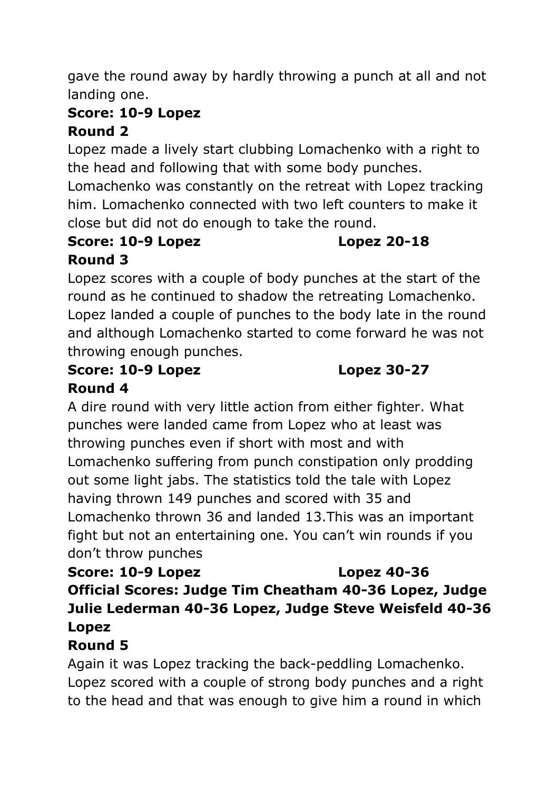gave the round away by hardly throwing a punch at all and not landing one.

#### **Score: 10-9 Lopez Round 2**

Lopez made a lively start clubbing Lomachenko with a right to the head and following that with some body punches.

Lomachenko was constantly on the retreat with Lopez tracking him. Lomachenko connected with two left counters to make it close but did not do enough to take the round.

#### **Score: 10-9 Lopez Lopez 20-18 Round 3**

Lopez scores with a couple of body punches at the start of the round as he continued to shadow the retreating Lomachenko. Lopez landed a couple of punches to the body late in the round and although Lomachenko started to come forward he was not throwing enough punches.

#### **Score: 10-9 Lopez Lopez 30-27 Round 4**

A dire round with very little action from either fighter. What punches were landed came from Lopez who at least was throwing punches even if short with most and with Lomachenko suffering from punch constipation only prodding out some light jabs. The statistics told the tale with Lopez having thrown 149 punches and scored with 35 and Lomachenko thrown 36 and landed 13.This was an important fight but not an entertaining one. You can't win rounds if you don't throw punches

**Score: 10-9 Lopez Lopez 40-36 Official Scores: Judge Tim Cheatham 40-36 Lopez, Judge Julie Lederman 40-36 Lopez, Judge Steve Weisfeld 40-36 Lopez**

# **Round 5**

Again it was Lopez tracking the back-peddling Lomachenko. Lopez scored with a couple of strong body punches and a right to the head and that was enough to give him a round in which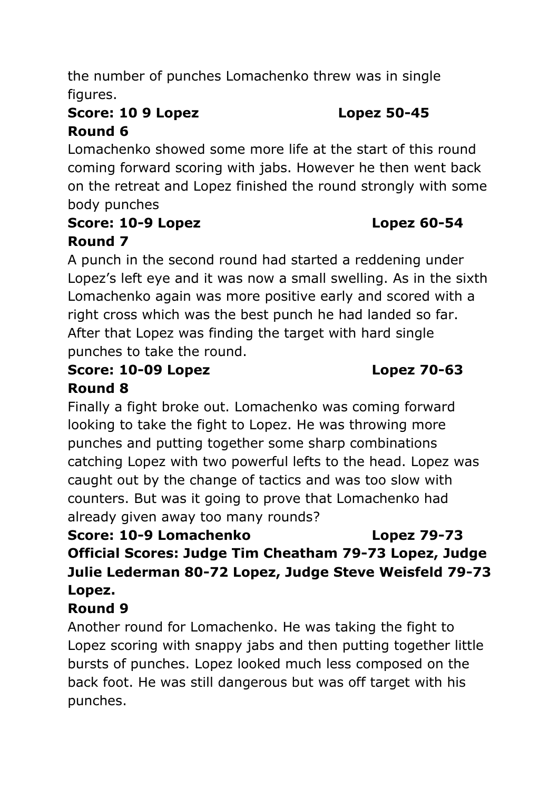the number of punches Lomachenko threw was in single figures.

# **Score: 10 9 Lopez Lopez 50-45 Round 6**

Lomachenko showed some more life at the start of this round coming forward scoring with jabs. However he then went back on the retreat and Lopez finished the round strongly with some body punches

## **Score: 10-9 Lopez Lopez 60-54 Round 7**

A punch in the second round had started a reddening under Lopez's left eye and it was now a small swelling. As in the sixth Lomachenko again was more positive early and scored with a right cross which was the best punch he had landed so far. After that Lopez was finding the target with hard single punches to take the round.

### **Score: 10-09 Lopez Lopez 70-63 Round 8**

Finally a fight broke out. Lomachenko was coming forward looking to take the fight to Lopez. He was throwing more punches and putting together some sharp combinations catching Lopez with two powerful lefts to the head. Lopez was caught out by the change of tactics and was too slow with counters. But was it going to prove that Lomachenko had already given away too many rounds?

**Score: 10-9 Lomachenko Lopez 79-73 Official Scores: Judge Tim Cheatham 79-73 Lopez, Judge Julie Lederman 80-72 Lopez, Judge Steve Weisfeld 79-73 Lopez.**

# **Round 9**

Another round for Lomachenko. He was taking the fight to Lopez scoring with snappy jabs and then putting together little bursts of punches. Lopez looked much less composed on the back foot. He was still dangerous but was off target with his punches.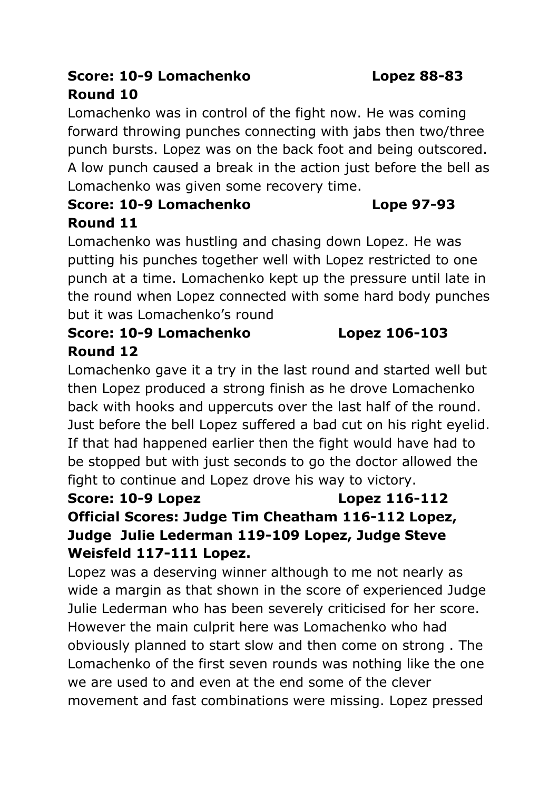# **Score: 10-9 Lomachenko Lopez 88-83 Round 10**

Lomachenko was in control of the fight now. He was coming forward throwing punches connecting with jabs then two/three punch bursts. Lopez was on the back foot and being outscored. A low punch caused a break in the action just before the bell as Lomachenko was given some recovery time.

# **Score: 10-9 Lomachenko Lope 97-93 Round 11**

Lomachenko was hustling and chasing down Lopez. He was putting his punches together well with Lopez restricted to one punch at a time. Lomachenko kept up the pressure until late in the round when Lopez connected with some hard body punches but it was Lomachenko's round

# **Score: 10-9 Lomachenko Lopez 106-103 Round 12**

Lomachenko gave it a try in the last round and started well but then Lopez produced a strong finish as he drove Lomachenko back with hooks and uppercuts over the last half of the round. Just before the bell Lopez suffered a bad cut on his right eyelid. If that had happened earlier then the fight would have had to be stopped but with just seconds to go the doctor allowed the fight to continue and Lopez drove his way to victory.

# **Score: 10-9 Lopez Lopez 116-112 Official Scores: Judge Tim Cheatham 116-112 Lopez, Judge Julie Lederman 119-109 Lopez, Judge Steve Weisfeld 117-111 Lopez.**

Lopez was a deserving winner although to me not nearly as wide a margin as that shown in the score of experienced Judge Julie Lederman who has been severely criticised for her score. However the main culprit here was Lomachenko who had obviously planned to start slow and then come on strong . The Lomachenko of the first seven rounds was nothing like the one we are used to and even at the end some of the clever movement and fast combinations were missing. Lopez pressed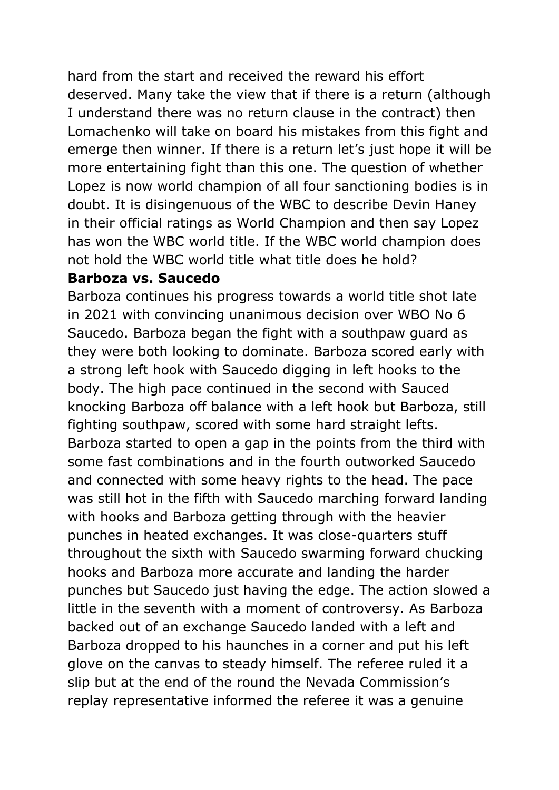hard from the start and received the reward his effort deserved. Many take the view that if there is a return (although I understand there was no return clause in the contract) then Lomachenko will take on board his mistakes from this fight and emerge then winner. If there is a return let's just hope it will be more entertaining fight than this one. The question of whether Lopez is now world champion of all four sanctioning bodies is in doubt. It is disingenuous of the WBC to describe Devin Haney in their official ratings as World Champion and then say Lopez has won the WBC world title. If the WBC world champion does not hold the WBC world title what title does he hold?

#### **Barboza vs. Saucedo**

Barboza continues his progress towards a world title shot late in 2021 with convincing unanimous decision over WBO No 6 Saucedo. Barboza began the fight with a southpaw guard as they were both looking to dominate. Barboza scored early with a strong left hook with Saucedo digging in left hooks to the body. The high pace continued in the second with Sauced knocking Barboza off balance with a left hook but Barboza, still fighting southpaw, scored with some hard straight lefts. Barboza started to open a gap in the points from the third with some fast combinations and in the fourth outworked Saucedo and connected with some heavy rights to the head. The pace was still hot in the fifth with Saucedo marching forward landing with hooks and Barboza getting through with the heavier punches in heated exchanges. It was close-quarters stuff throughout the sixth with Saucedo swarming forward chucking hooks and Barboza more accurate and landing the harder punches but Saucedo just having the edge. The action slowed a little in the seventh with a moment of controversy. As Barboza backed out of an exchange Saucedo landed with a left and Barboza dropped to his haunches in a corner and put his left glove on the canvas to steady himself. The referee ruled it a slip but at the end of the round the Nevada Commission's replay representative informed the referee it was a genuine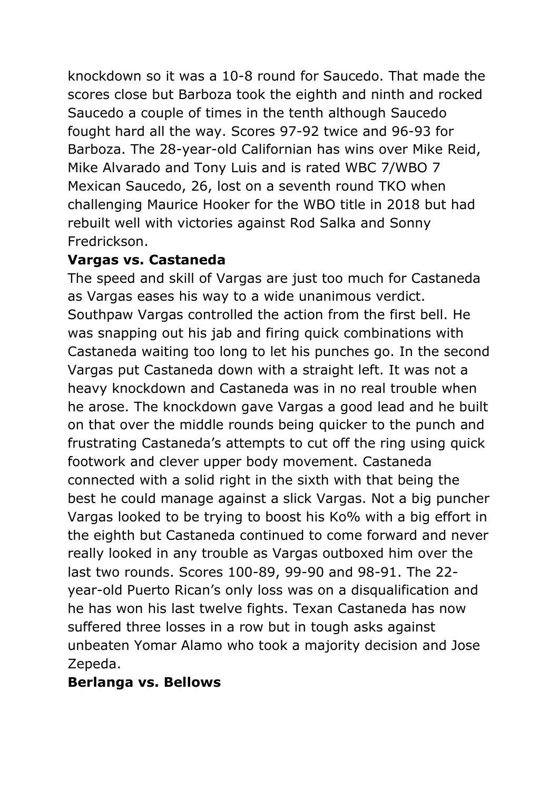knockdown so it was a 10-8 round for Saucedo. That made the scores close but Barboza took the eighth and ninth and rocked Saucedo a couple of times in the tenth although Saucedo fought hard all the way. Scores 97-92 twice and 96-93 for Barboza. The 28-year-old Californian has wins over Mike Reid, Mike Alvarado and Tony Luis and is rated WBC 7/WBO 7 Mexican Saucedo, 26, lost on a seventh round TKO when challenging Maurice Hooker for the WBO title in 2018 but had rebuilt well with victories against Rod Salka and Sonny Fredrickson.

### **Vargas vs. Castaneda**

The speed and skill of Vargas are just too much for Castaneda as Vargas eases his way to a wide unanimous verdict. Southpaw Vargas controlled the action from the first bell. He was snapping out his jab and firing quick combinations with Castaneda waiting too long to let his punches go. In the second Vargas put Castaneda down with a straight left. It was not a heavy knockdown and Castaneda was in no real trouble when he arose. The knockdown gave Vargas a good lead and he built on that over the middle rounds being quicker to the punch and frustrating Castaneda's attempts to cut off the ring using quick footwork and clever upper body movement. Castaneda connected with a solid right in the sixth with that being the best he could manage against a slick Vargas. Not a big puncher Vargas looked to be trying to boost his Ko% with a big effort in the eighth but Castaneda continued to come forward and never really looked in any trouble as Vargas outboxed him over the last two rounds. Scores 100-89, 99-90 and 98-91. The 22 year-old Puerto Rican's only loss was on a disqualification and he has won his last twelve fights. Texan Castaneda has now suffered three losses in a row but in tough asks against unbeaten Yomar Alamo who took a majority decision and Jose Zepeda.

#### **Berlanga vs. Bellows**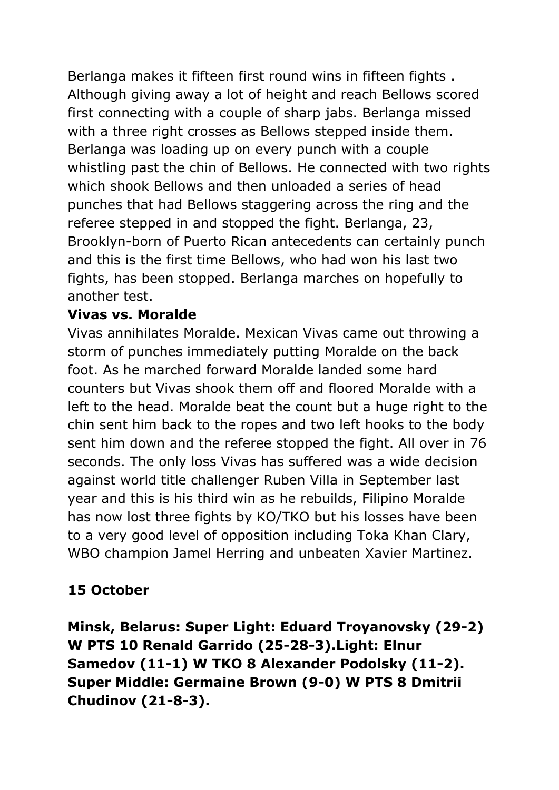Berlanga makes it fifteen first round wins in fifteen fights . Although giving away a lot of height and reach Bellows scored first connecting with a couple of sharp jabs. Berlanga missed with a three right crosses as Bellows stepped inside them. Berlanga was loading up on every punch with a couple whistling past the chin of Bellows. He connected with two rights which shook Bellows and then unloaded a series of head punches that had Bellows staggering across the ring and the referee stepped in and stopped the fight. Berlanga, 23, Brooklyn-born of Puerto Rican antecedents can certainly punch and this is the first time Bellows, who had won his last two fights, has been stopped. Berlanga marches on hopefully to another test.

#### **Vivas vs. Moralde**

Vivas annihilates Moralde. Mexican Vivas came out throwing a storm of punches immediately putting Moralde on the back foot. As he marched forward Moralde landed some hard counters but Vivas shook them off and floored Moralde with a left to the head. Moralde beat the count but a huge right to the chin sent him back to the ropes and two left hooks to the body sent him down and the referee stopped the fight. All over in 76 seconds. The only loss Vivas has suffered was a wide decision against world title challenger Ruben Villa in September last year and this is his third win as he rebuilds, Filipino Moralde has now lost three fights by KO/TKO but his losses have been to a very good level of opposition including Toka Khan Clary, WBO champion Jamel Herring and unbeaten Xavier Martinez.

# **15 October**

**Minsk, Belarus: Super Light: Eduard Troyanovsky (29-2) W PTS 10 Renald Garrido (25-28-3).Light: Elnur Samedov (11-1) W TKO 8 Alexander Podolsky (11-2). Super Middle: Germaine Brown (9-0) W PTS 8 Dmitrii Chudinov (21-8-3).**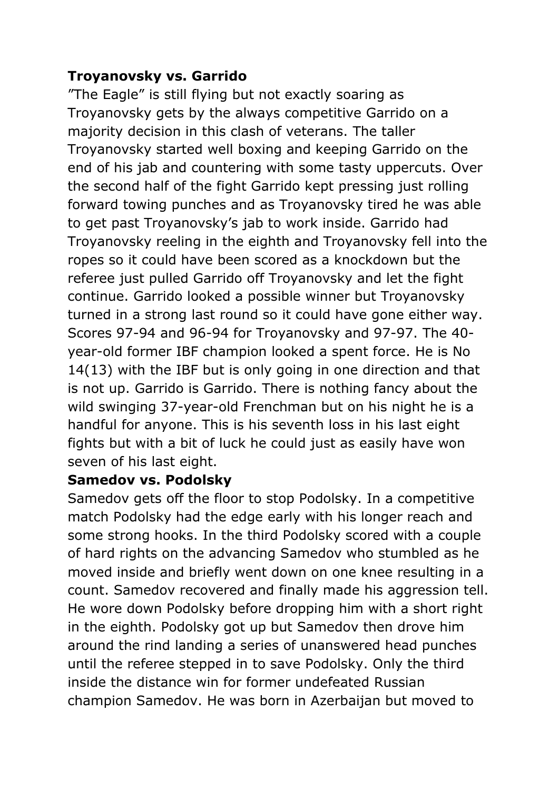### **Troyanovsky vs. Garrido**

"The Eagle" is still flying but not exactly soaring as Troyanovsky gets by the always competitive Garrido on a majority decision in this clash of veterans. The taller Troyanovsky started well boxing and keeping Garrido on the end of his jab and countering with some tasty uppercuts. Over the second half of the fight Garrido kept pressing just rolling forward towing punches and as Troyanovsky tired he was able to get past Troyanovsky's jab to work inside. Garrido had Troyanovsky reeling in the eighth and Troyanovsky fell into the ropes so it could have been scored as a knockdown but the referee just pulled Garrido off Troyanovsky and let the fight continue. Garrido looked a possible winner but Troyanovsky turned in a strong last round so it could have gone either way. Scores 97-94 and 96-94 for Troyanovsky and 97-97. The 40 year-old former IBF champion looked a spent force. He is No 14(13) with the IBF but is only going in one direction and that is not up. Garrido is Garrido. There is nothing fancy about the wild swinging 37-year-old Frenchman but on his night he is a handful for anyone. This is his seventh loss in his last eight fights but with a bit of luck he could just as easily have won seven of his last eight.

#### **Samedov vs. Podolsky**

Samedov gets off the floor to stop Podolsky. In a competitive match Podolsky had the edge early with his longer reach and some strong hooks. In the third Podolsky scored with a couple of hard rights on the advancing Samedov who stumbled as he moved inside and briefly went down on one knee resulting in a count. Samedov recovered and finally made his aggression tell. He wore down Podolsky before dropping him with a short right in the eighth. Podolsky got up but Samedov then drove him around the rind landing a series of unanswered head punches until the referee stepped in to save Podolsky. Only the third inside the distance win for former undefeated Russian champion Samedov. He was born in Azerbaijan but moved to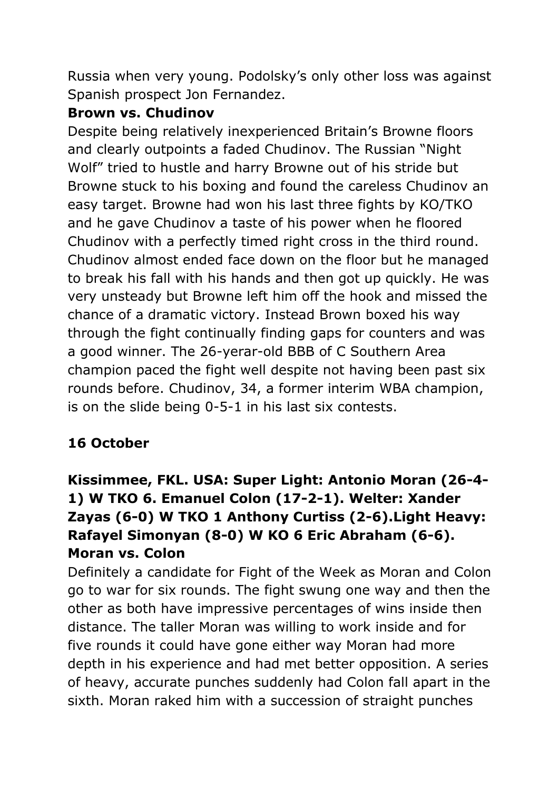Russia when very young. Podolsky's only other loss was against Spanish prospect Jon Fernandez.

#### **Brown vs. Chudinov**

Despite being relatively inexperienced Britain's Browne floors and clearly outpoints a faded Chudinov. The Russian "Night Wolf" tried to hustle and harry Browne out of his stride but Browne stuck to his boxing and found the careless Chudinov an easy target. Browne had won his last three fights by KO/TKO and he gave Chudinov a taste of his power when he floored Chudinov with a perfectly timed right cross in the third round. Chudinov almost ended face down on the floor but he managed to break his fall with his hands and then got up quickly. He was very unsteady but Browne left him off the hook and missed the chance of a dramatic victory. Instead Brown boxed his way through the fight continually finding gaps for counters and was a good winner. The 26-yerar-old BBB of C Southern Area champion paced the fight well despite not having been past six rounds before. Chudinov, 34, a former interim WBA champion, is on the slide being 0-5-1 in his last six contests.

# **16 October**

# **Kissimmee, FKL. USA: Super Light: Antonio Moran (26-4- 1) W TKO 6. Emanuel Colon (17-2-1). Welter: Xander Zayas (6-0) W TKO 1 Anthony Curtiss (2-6).Light Heavy: Rafayel Simonyan (8-0) W KO 6 Eric Abraham (6-6). Moran vs. Colon**

Definitely a candidate for Fight of the Week as Moran and Colon go to war for six rounds. The fight swung one way and then the other as both have impressive percentages of wins inside then distance. The taller Moran was willing to work inside and for five rounds it could have gone either way Moran had more depth in his experience and had met better opposition. A series of heavy, accurate punches suddenly had Colon fall apart in the sixth. Moran raked him with a succession of straight punches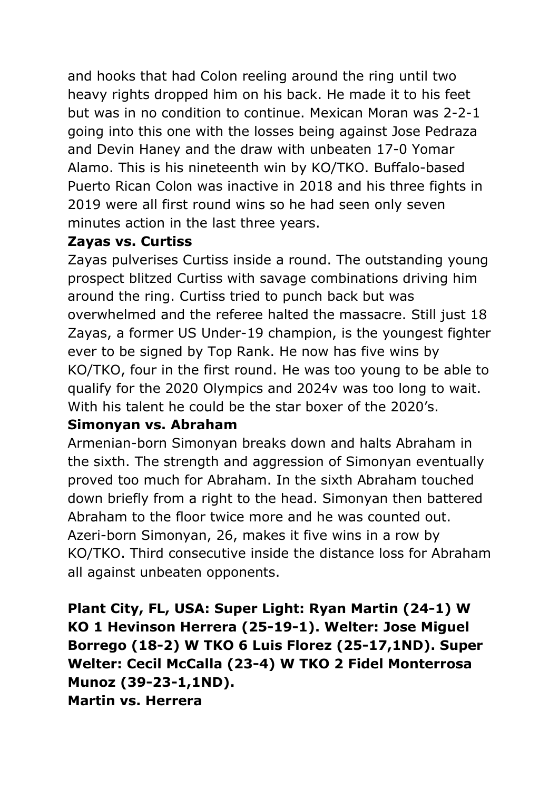and hooks that had Colon reeling around the ring until two heavy rights dropped him on his back. He made it to his feet but was in no condition to continue. Mexican Moran was 2-2-1 going into this one with the losses being against Jose Pedraza and Devin Haney and the draw with unbeaten 17-0 Yomar Alamo. This is his nineteenth win by KO/TKO. Buffalo-based Puerto Rican Colon was inactive in 2018 and his three fights in 2019 were all first round wins so he had seen only seven minutes action in the last three years.

#### **Zayas vs. Curtiss**

Zayas pulverises Curtiss inside a round. The outstanding young prospect blitzed Curtiss with savage combinations driving him around the ring. Curtiss tried to punch back but was overwhelmed and the referee halted the massacre. Still just 18 Zayas, a former US Under-19 champion, is the youngest fighter ever to be signed by Top Rank. He now has five wins by KO/TKO, four in the first round. He was too young to be able to qualify for the 2020 Olympics and 2024v was too long to wait. With his talent he could be the star boxer of the 2020's.

# **Simonyan vs. Abraham**

Armenian-born Simonyan breaks down and halts Abraham in the sixth. The strength and aggression of Simonyan eventually proved too much for Abraham. In the sixth Abraham touched down briefly from a right to the head. Simonyan then battered Abraham to the floor twice more and he was counted out. Azeri-born Simonyan, 26, makes it five wins in a row by KO/TKO. Third consecutive inside the distance loss for Abraham all against unbeaten opponents.

**Plant City, FL, USA: Super Light: Ryan Martin (24-1) W KO 1 Hevinson Herrera (25-19-1). Welter: Jose Miguel Borrego (18-2) W TKO 6 Luis Florez (25-17,1ND). Super Welter: Cecil McCalla (23-4) W TKO 2 Fidel Monterrosa Munoz (39-23-1,1ND). Martin vs. Herrera**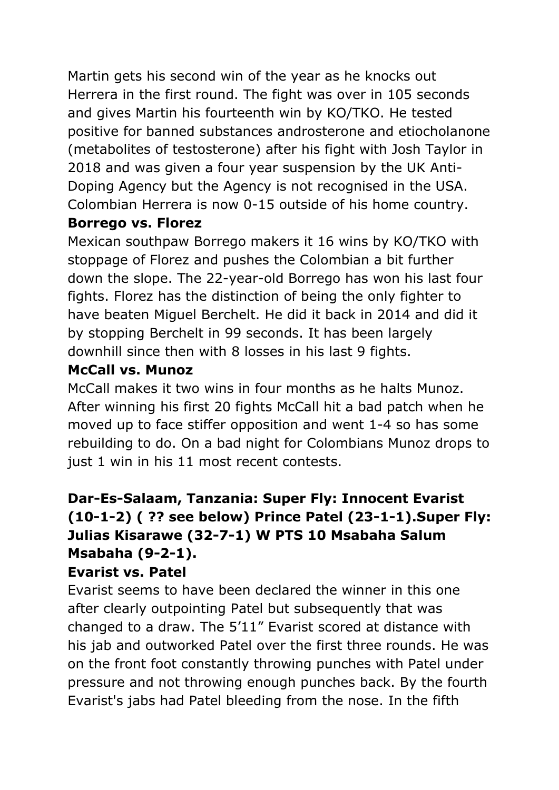Martin gets his second win of the year as he knocks out Herrera in the first round. The fight was over in 105 seconds and gives Martin his fourteenth win by KO/TKO. He tested positive for banned substances androsterone and etiocholanone (metabolites of testosterone) after his fight with Josh Taylor in 2018 and was given a four year suspension by the UK Anti-Doping Agency but the Agency is not recognised in the USA. Colombian Herrera is now 0-15 outside of his home country.

### **Borrego vs. Florez**

Mexican southpaw Borrego makers it 16 wins by KO/TKO with stoppage of Florez and pushes the Colombian a bit further down the slope. The 22-year-old Borrego has won his last four fights. Florez has the distinction of being the only fighter to have beaten Miguel Berchelt. He did it back in 2014 and did it by stopping Berchelt in 99 seconds. It has been largely downhill since then with 8 losses in his last 9 fights.

# **McCall vs. Munoz**

McCall makes it two wins in four months as he halts Munoz. After winning his first 20 fights McCall hit a bad patch when he moved up to face stiffer opposition and went 1-4 so has some rebuilding to do. On a bad night for Colombians Munoz drops to just 1 win in his 11 most recent contests.

# **Dar-Es-Salaam, Tanzania: Super Fly: Innocent Evarist (10-1-2) ( ?? see below) Prince Patel (23-1-1).Super Fly: Julias Kisarawe (32-7-1) W PTS 10 Msabaha Salum Msabaha (9-2-1).**

#### **Evarist vs. Patel**

Evarist seems to have been declared the winner in this one after clearly outpointing Patel but subsequently that was changed to a draw. The 5'11" Evarist scored at distance with his jab and outworked Patel over the first three rounds. He was on the front foot constantly throwing punches with Patel under pressure and not throwing enough punches back. By the fourth Evarist's jabs had Patel bleeding from the nose. In the fifth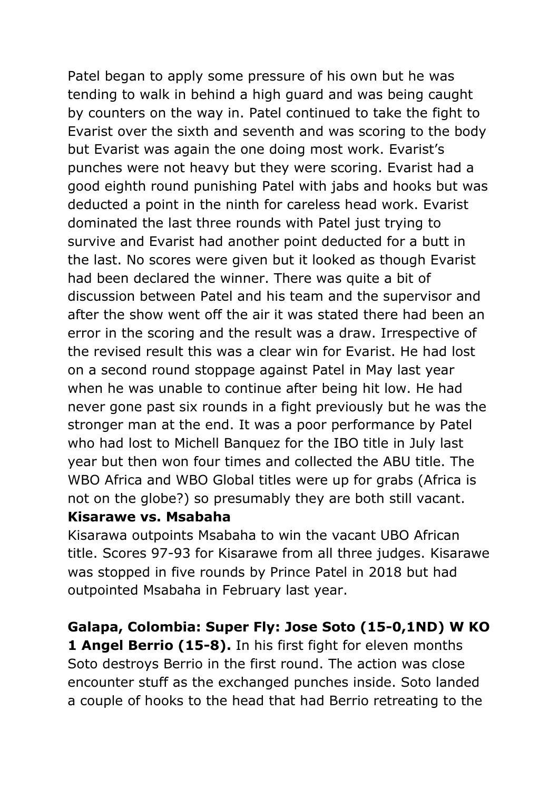Patel began to apply some pressure of his own but he was tending to walk in behind a high guard and was being caught by counters on the way in. Patel continued to take the fight to Evarist over the sixth and seventh and was scoring to the body but Evarist was again the one doing most work. Evarist's punches were not heavy but they were scoring. Evarist had a good eighth round punishing Patel with jabs and hooks but was deducted a point in the ninth for careless head work. Evarist dominated the last three rounds with Patel just trying to survive and Evarist had another point deducted for a butt in the last. No scores were given but it looked as though Evarist had been declared the winner. There was quite a bit of discussion between Patel and his team and the supervisor and after the show went off the air it was stated there had been an error in the scoring and the result was a draw. Irrespective of the revised result this was a clear win for Evarist. He had lost on a second round stoppage against Patel in May last year when he was unable to continue after being hit low. He had never gone past six rounds in a fight previously but he was the stronger man at the end. It was a poor performance by Patel who had lost to Michell Banquez for the IBO title in July last year but then won four times and collected the ABU title. The WBO Africa and WBO Global titles were up for grabs (Africa is not on the globe?) so presumably they are both still vacant.

#### **Kisarawe vs. Msabaha**

Kisarawa outpoints Msabaha to win the vacant UBO African title. Scores 97-93 for Kisarawe from all three judges. Kisarawe was stopped in five rounds by Prince Patel in 2018 but had outpointed Msabaha in February last year.

#### **Galapa, Colombia: Super Fly: Jose Soto (15-0,1ND) W KO**

**1 Angel Berrio (15-8).** In his first fight for eleven months Soto destroys Berrio in the first round. The action was close encounter stuff as the exchanged punches inside. Soto landed a couple of hooks to the head that had Berrio retreating to the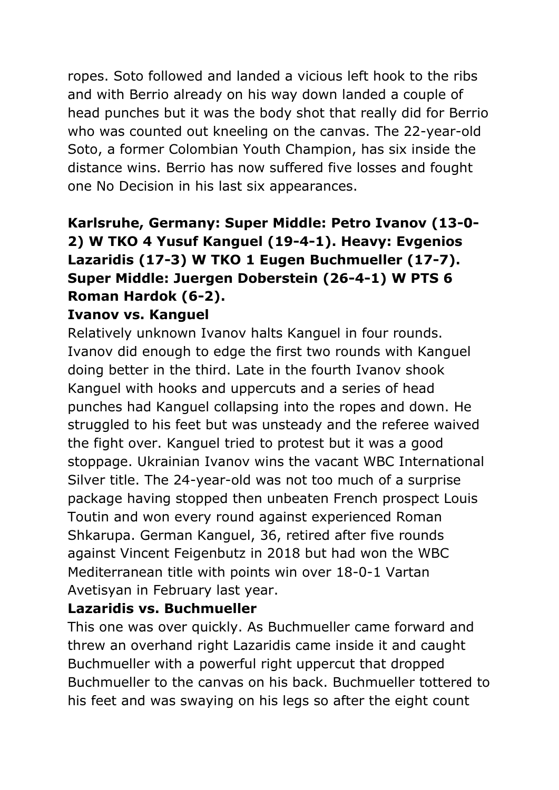ropes. Soto followed and landed a vicious left hook to the ribs and with Berrio already on his way down landed a couple of head punches but it was the body shot that really did for Berrio who was counted out kneeling on the canvas. The 22-year-old Soto, a former Colombian Youth Champion, has six inside the distance wins. Berrio has now suffered five losses and fought one No Decision in his last six appearances.

# **Karlsruhe, Germany: Super Middle: Petro Ivanov (13-0- 2) W TKO 4 Yusuf Kanguel (19-4-1). Heavy: Evgenios Lazaridis (17-3) W TKO 1 Eugen Buchmueller (17-7). Super Middle: Juergen Doberstein (26-4-1) W PTS 6 Roman Hardok (6-2).**

#### **Ivanov vs. Kanguel**

Relatively unknown Ivanov halts Kanguel in four rounds. Ivanov did enough to edge the first two rounds with Kanguel doing better in the third. Late in the fourth Ivanov shook Kanguel with hooks and uppercuts and a series of head punches had Kanguel collapsing into the ropes and down. He struggled to his feet but was unsteady and the referee waived the fight over. Kanguel tried to protest but it was a good stoppage. Ukrainian Ivanov wins the vacant WBC International Silver title. The 24-year-old was not too much of a surprise package having stopped then unbeaten French prospect Louis Toutin and won every round against experienced Roman Shkarupa. German Kanguel, 36, retired after five rounds against Vincent Feigenbutz in 2018 but had won the WBC Mediterranean title with points win over 18-0-1 Vartan Avetisyan in February last year.

#### **Lazaridis vs. Buchmueller**

This one was over quickly. As Buchmueller came forward and threw an overhand right Lazaridis came inside it and caught Buchmueller with a powerful right uppercut that dropped Buchmueller to the canvas on his back. Buchmueller tottered to his feet and was swaying on his legs so after the eight count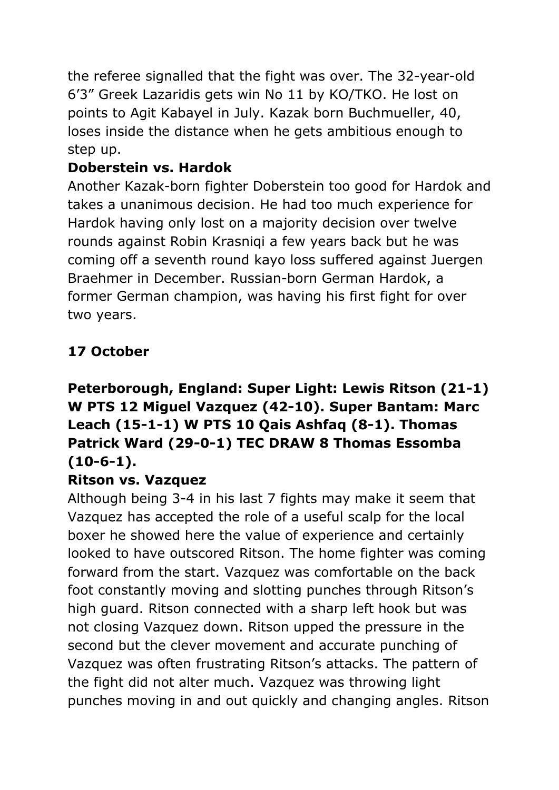the referee signalled that the fight was over. The 32-year-old 6'3" Greek Lazaridis gets win No 11 by KO/TKO. He lost on points to Agit Kabayel in July. Kazak born Buchmueller, 40, loses inside the distance when he gets ambitious enough to step up.

# **Doberstein vs. Hardok**

Another Kazak-born fighter Doberstein too good for Hardok and takes a unanimous decision. He had too much experience for Hardok having only lost on a majority decision over twelve rounds against Robin Krasniqi a few years back but he was coming off a seventh round kayo loss suffered against Juergen Braehmer in December. Russian-born German Hardok, a former German champion, was having his first fight for over two years.

# **17 October**

# **Peterborough, England: Super Light: Lewis Ritson (21-1) W PTS 12 Miguel Vazquez (42-10). Super Bantam: Marc Leach (15-1-1) W PTS 10 Qais Ashfaq (8-1). Thomas Patrick Ward (29-0-1) TEC DRAW 8 Thomas Essomba (10-6-1).**

# **Ritson vs. Vazquez**

Although being 3-4 in his last 7 fights may make it seem that Vazquez has accepted the role of a useful scalp for the local boxer he showed here the value of experience and certainly looked to have outscored Ritson. The home fighter was coming forward from the start. Vazquez was comfortable on the back foot constantly moving and slotting punches through Ritson's high guard. Ritson connected with a sharp left hook but was not closing Vazquez down. Ritson upped the pressure in the second but the clever movement and accurate punching of Vazquez was often frustrating Ritson's attacks. The pattern of the fight did not alter much. Vazquez was throwing light punches moving in and out quickly and changing angles. Ritson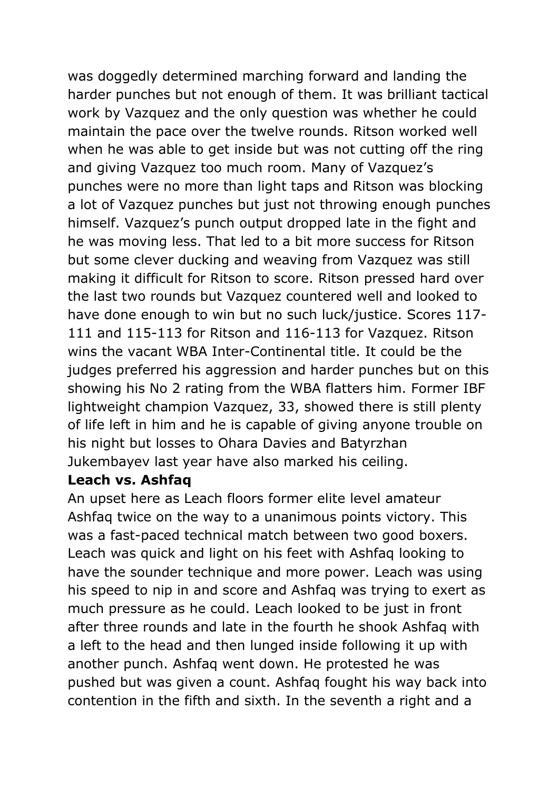was doggedly determined marching forward and landing the harder punches but not enough of them. It was brilliant tactical work by Vazquez and the only question was whether he could maintain the pace over the twelve rounds. Ritson worked well when he was able to get inside but was not cutting off the ring and giving Vazquez too much room. Many of Vazquez's punches were no more than light taps and Ritson was blocking a lot of Vazquez punches but just not throwing enough punches himself. Vazquez's punch output dropped late in the fight and he was moving less. That led to a bit more success for Ritson but some clever ducking and weaving from Vazquez was still making it difficult for Ritson to score. Ritson pressed hard over the last two rounds but Vazquez countered well and looked to have done enough to win but no such luck/justice. Scores 117- 111 and 115-113 for Ritson and 116-113 for Vazquez. Ritson wins the vacant WBA Inter-Continental title. It could be the judges preferred his aggression and harder punches but on this showing his No 2 rating from the WBA flatters him. Former IBF lightweight champion Vazquez, 33, showed there is still plenty of life left in him and he is capable of giving anyone trouble on his night but losses to Ohara Davies and Batyrzhan Jukembayev last year have also marked his ceiling.

#### **Leach vs. Ashfaq**

An upset here as Leach floors former elite level amateur Ashfaq twice on the way to a unanimous points victory. This was a fast-paced technical match between two good boxers. Leach was quick and light on his feet with Ashfaq looking to have the sounder technique and more power. Leach was using his speed to nip in and score and Ashfaq was trying to exert as much pressure as he could. Leach looked to be just in front after three rounds and late in the fourth he shook Ashfaq with a left to the head and then lunged inside following it up with another punch. Ashfaq went down. He protested he was pushed but was given a count. Ashfaq fought his way back into contention in the fifth and sixth. In the seventh a right and a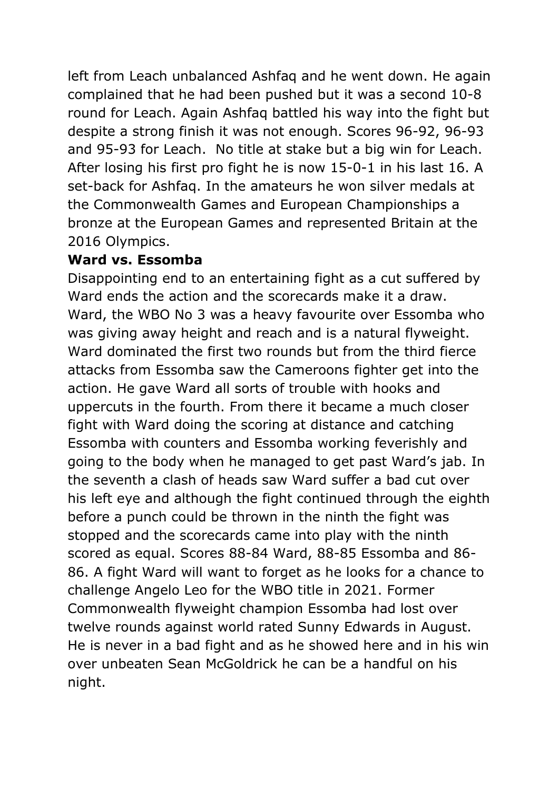left from Leach unbalanced Ashfaq and he went down. He again complained that he had been pushed but it was a second 10-8 round for Leach. Again Ashfaq battled his way into the fight but despite a strong finish it was not enough. Scores 96-92, 96-93 and 95-93 for Leach. No title at stake but a big win for Leach. After losing his first pro fight he is now 15-0-1 in his last 16. A set-back for Ashfaq. In the amateurs he won silver medals at the Commonwealth Games and European Championships a bronze at the European Games and represented Britain at the 2016 Olympics.

### **Ward vs. Essomba**

Disappointing end to an entertaining fight as a cut suffered by Ward ends the action and the scorecards make it a draw. Ward, the WBO No 3 was a heavy favourite over Essomba who was giving away height and reach and is a natural flyweight. Ward dominated the first two rounds but from the third fierce attacks from Essomba saw the Cameroons fighter get into the action. He gave Ward all sorts of trouble with hooks and uppercuts in the fourth. From there it became a much closer fight with Ward doing the scoring at distance and catching Essomba with counters and Essomba working feverishly and going to the body when he managed to get past Ward's jab. In the seventh a clash of heads saw Ward suffer a bad cut over his left eye and although the fight continued through the eighth before a punch could be thrown in the ninth the fight was stopped and the scorecards came into play with the ninth scored as equal. Scores 88-84 Ward, 88-85 Essomba and 86- 86. A fight Ward will want to forget as he looks for a chance to challenge Angelo Leo for the WBO title in 2021. Former Commonwealth flyweight champion Essomba had lost over twelve rounds against world rated Sunny Edwards in August. He is never in a bad fight and as he showed here and in his win over unbeaten Sean McGoldrick he can be a handful on his night.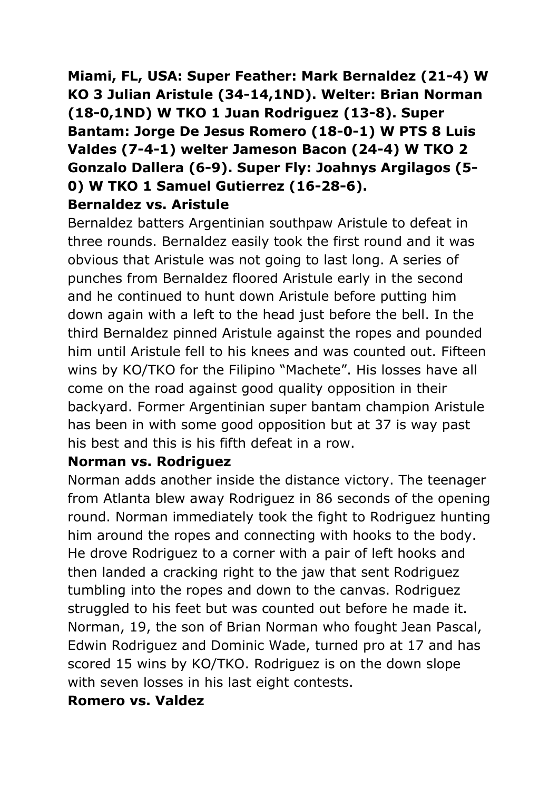# **Miami, FL, USA: Super Feather: Mark Bernaldez (21-4) W KO 3 Julian Aristule (34-14,1ND). Welter: Brian Norman (18-0,1ND) W TKO 1 Juan Rodriguez (13-8). Super Bantam: Jorge De Jesus Romero (18-0-1) W PTS 8 Luis Valdes (7-4-1) welter Jameson Bacon (24-4) W TKO 2 Gonzalo Dallera (6-9). Super Fly: Joahnys Argilagos (5- 0) W TKO 1 Samuel Gutierrez (16-28-6). Bernaldez vs. Aristule**

Bernaldez batters Argentinian southpaw Aristule to defeat in three rounds. Bernaldez easily took the first round and it was obvious that Aristule was not going to last long. A series of punches from Bernaldez floored Aristule early in the second and he continued to hunt down Aristule before putting him down again with a left to the head just before the bell. In the third Bernaldez pinned Aristule against the ropes and pounded him until Aristule fell to his knees and was counted out. Fifteen wins by KO/TKO for the Filipino "Machete". His losses have all come on the road against good quality opposition in their backyard. Former Argentinian super bantam champion Aristule has been in with some good opposition but at 37 is way past his best and this is his fifth defeat in a row.

#### **Norman vs. Rodriguez**

Norman adds another inside the distance victory. The teenager from Atlanta blew away Rodriguez in 86 seconds of the opening round. Norman immediately took the fight to Rodriguez hunting him around the ropes and connecting with hooks to the body. He drove Rodriguez to a corner with a pair of left hooks and then landed a cracking right to the jaw that sent Rodriguez tumbling into the ropes and down to the canvas. Rodriguez struggled to his feet but was counted out before he made it. Norman, 19, the son of Brian Norman who fought Jean Pascal, Edwin Rodriguez and Dominic Wade, turned pro at 17 and has scored 15 wins by KO/TKO. Rodriguez is on the down slope with seven losses in his last eight contests.

#### **Romero vs. Valdez**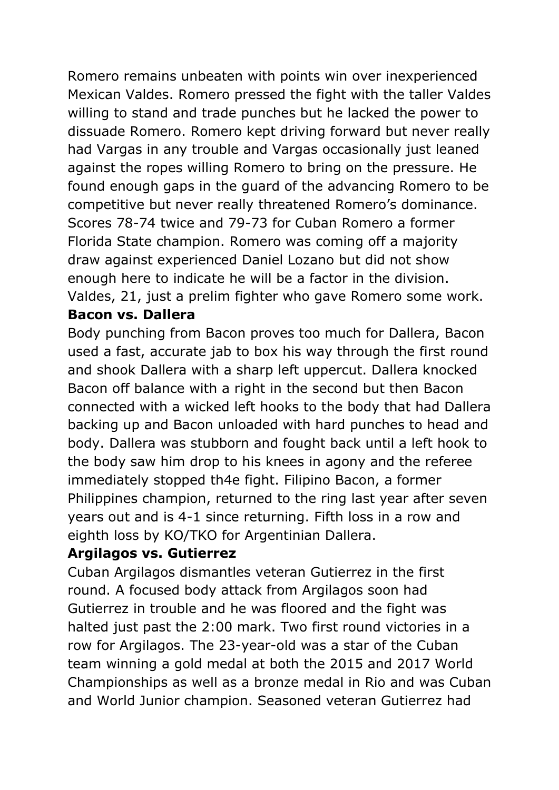Romero remains unbeaten with points win over inexperienced Mexican Valdes. Romero pressed the fight with the taller Valdes willing to stand and trade punches but he lacked the power to dissuade Romero. Romero kept driving forward but never really had Vargas in any trouble and Vargas occasionally just leaned against the ropes willing Romero to bring on the pressure. He found enough gaps in the guard of the advancing Romero to be competitive but never really threatened Romero's dominance. Scores 78-74 twice and 79-73 for Cuban Romero a former Florida State champion. Romero was coming off a majority draw against experienced Daniel Lozano but did not show enough here to indicate he will be a factor in the division. Valdes, 21, just a prelim fighter who gave Romero some work. **Bacon vs. Dallera**

Body punching from Bacon proves too much for Dallera, Bacon used a fast, accurate jab to box his way through the first round and shook Dallera with a sharp left uppercut. Dallera knocked Bacon off balance with a right in the second but then Bacon connected with a wicked left hooks to the body that had Dallera backing up and Bacon unloaded with hard punches to head and body. Dallera was stubborn and fought back until a left hook to the body saw him drop to his knees in agony and the referee immediately stopped th4e fight. Filipino Bacon, a former Philippines champion, returned to the ring last year after seven years out and is 4-1 since returning. Fifth loss in a row and eighth loss by KO/TKO for Argentinian Dallera.

#### **Argilagos vs. Gutierrez**

Cuban Argilagos dismantles veteran Gutierrez in the first round. A focused body attack from Argilagos soon had Gutierrez in trouble and he was floored and the fight was halted just past the 2:00 mark. Two first round victories in a row for Argilagos. The 23-year-old was a star of the Cuban team winning a gold medal at both the 2015 and 2017 World Championships as well as a bronze medal in Rio and was Cuban and World Junior champion. Seasoned veteran Gutierrez had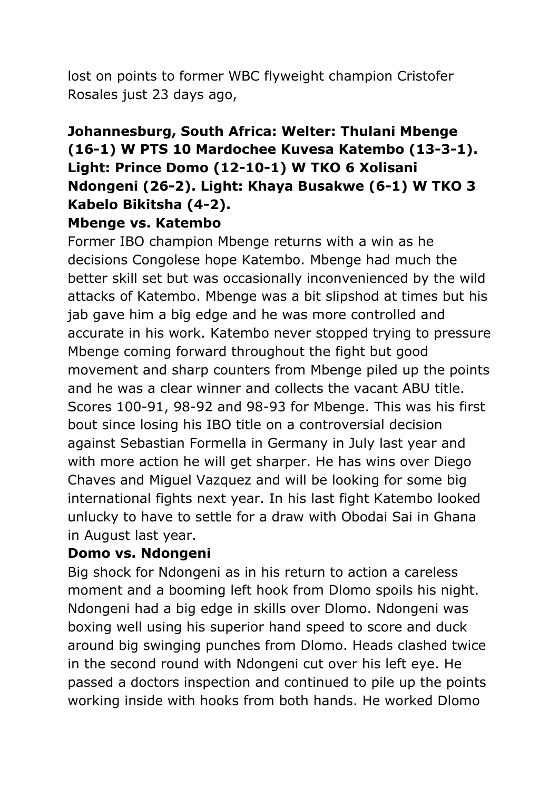lost on points to former WBC flyweight champion Cristofer Rosales just 23 days ago,

# **Johannesburg, South Africa: Welter: Thulani Mbenge (16-1) W PTS 10 Mardochee Kuvesa Katembo (13-3-1). Light: Prince Domo (12-10-1) W TKO 6 Xolisani Ndongeni (26-2). Light: Khaya Busakwe (6-1) W TKO 3 Kabelo Bikitsha (4-2).**

#### **Mbenge vs. Katembo**

Former IBO champion Mbenge returns with a win as he decisions Congolese hope Katembo. Mbenge had much the better skill set but was occasionally inconvenienced by the wild attacks of Katembo. Mbenge was a bit slipshod at times but his jab gave him a big edge and he was more controlled and accurate in his work. Katembo never stopped trying to pressure Mbenge coming forward throughout the fight but good movement and sharp counters from Mbenge piled up the points and he was a clear winner and collects the vacant ABU title. Scores 100-91, 98-92 and 98-93 for Mbenge. This was his first bout since losing his IBO title on a controversial decision against Sebastian Formella in Germany in July last year and with more action he will get sharper. He has wins over Diego Chaves and Miguel Vazquez and will be looking for some big international fights next year. In his last fight Katembo looked unlucky to have to settle for a draw with Obodai Sai in Ghana in August last year.

#### **Domo vs. Ndongeni**

Big shock for Ndongeni as in his return to action a careless moment and a booming left hook from Dlomo spoils his night. Ndongeni had a big edge in skills over Dlomo. Ndongeni was boxing well using his superior hand speed to score and duck around big swinging punches from Dlomo. Heads clashed twice in the second round with Ndongeni cut over his left eye. He passed a doctors inspection and continued to pile up the points working inside with hooks from both hands. He worked Dlomo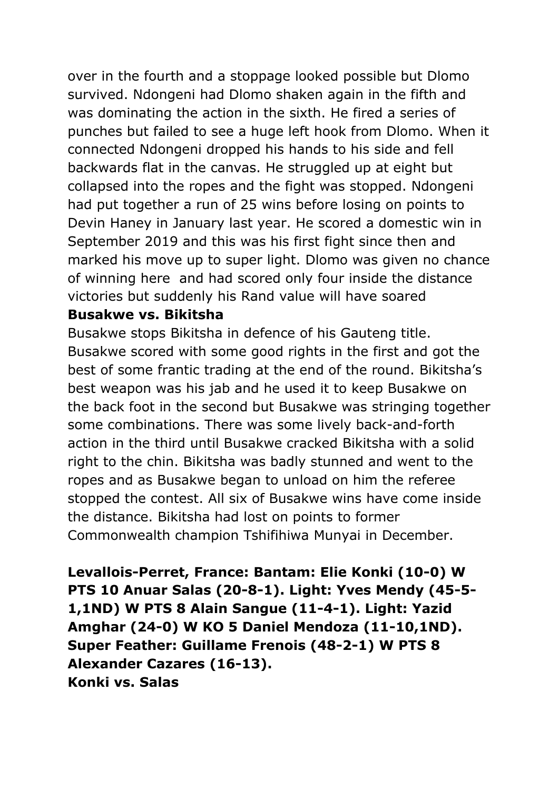over in the fourth and a stoppage looked possible but Dlomo survived. Ndongeni had Dlomo shaken again in the fifth and was dominating the action in the sixth. He fired a series of punches but failed to see a huge left hook from Dlomo. When it connected Ndongeni dropped his hands to his side and fell backwards flat in the canvas. He struggled up at eight but collapsed into the ropes and the fight was stopped. Ndongeni had put together a run of 25 wins before losing on points to Devin Haney in January last year. He scored a domestic win in September 2019 and this was his first fight since then and marked his move up to super light. Dlomo was given no chance of winning here and had scored only four inside the distance victories but suddenly his Rand value will have soared

#### **Busakwe vs. Bikitsha**

Busakwe stops Bikitsha in defence of his Gauteng title. Busakwe scored with some good rights in the first and got the best of some frantic trading at the end of the round. Bikitsha's best weapon was his jab and he used it to keep Busakwe on the back foot in the second but Busakwe was stringing together some combinations. There was some lively back-and-forth action in the third until Busakwe cracked Bikitsha with a solid right to the chin. Bikitsha was badly stunned and went to the ropes and as Busakwe began to unload on him the referee stopped the contest. All six of Busakwe wins have come inside the distance. Bikitsha had lost on points to former Commonwealth champion Tshifihiwa Munyai in December.

**Levallois-Perret, France: Bantam: Elie Konki (10-0) W PTS 10 Anuar Salas (20-8-1). Light: Yves Mendy (45-5- 1,1ND) W PTS 8 Alain Sangue (11-4-1). Light: Yazid Amghar (24-0) W KO 5 Daniel Mendoza (11-10,1ND). Super Feather: Guillame Frenois (48-2-1) W PTS 8 Alexander Cazares (16-13). Konki vs. Salas**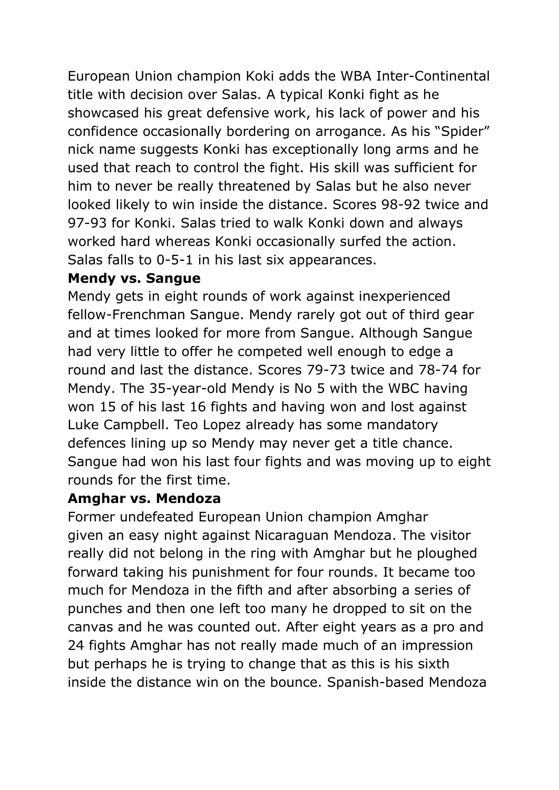European Union champion Koki adds the WBA Inter-Continental title with decision over Salas. A typical Konki fight as he showcased his great defensive work, his lack of power and his confidence occasionally bordering on arrogance. As his "Spider" nick name suggests Konki has exceptionally long arms and he used that reach to control the fight. His skill was sufficient for him to never be really threatened by Salas but he also never looked likely to win inside the distance. Scores 98-92 twice and 97-93 for Konki. Salas tried to walk Konki down and always worked hard whereas Konki occasionally surfed the action. Salas falls to 0-5-1 in his last six appearances.

### **Mendy vs. Sangue**

Mendy gets in eight rounds of work against inexperienced fellow-Frenchman Sangue. Mendy rarely got out of third gear and at times looked for more from Sangue. Although Sangue had very little to offer he competed well enough to edge a round and last the distance. Scores 79-73 twice and 78-74 for Mendy. The 35-year-old Mendy is No 5 with the WBC having won 15 of his last 16 fights and having won and lost against Luke Campbell. Teo Lopez already has some mandatory defences lining up so Mendy may never get a title chance. Sangue had won his last four fights and was moving up to eight rounds for the first time.

# **Amghar vs. Mendoza**

Former undefeated European Union champion Amghar given an easy night against Nicaraguan Mendoza. The visitor really did not belong in the ring with Amghar but he ploughed forward taking his punishment for four rounds. It became too much for Mendoza in the fifth and after absorbing a series of punches and then one left too many he dropped to sit on the canvas and he was counted out. After eight years as a pro and 24 fights Amghar has not really made much of an impression but perhaps he is trying to change that as this is his sixth inside the distance win on the bounce. Spanish-based Mendoza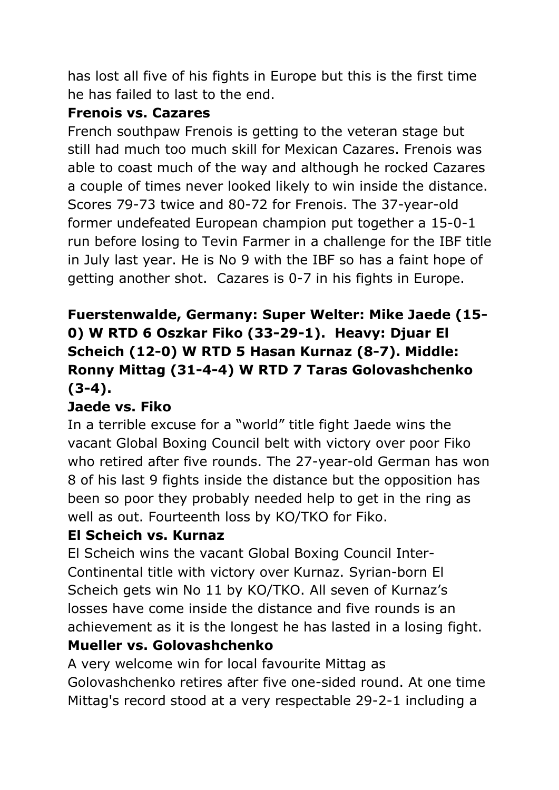has lost all five of his fights in Europe but this is the first time he has failed to last to the end.

### **Frenois vs. Cazares**

French southpaw Frenois is getting to the veteran stage but still had much too much skill for Mexican Cazares. Frenois was able to coast much of the way and although he rocked Cazares a couple of times never looked likely to win inside the distance. Scores 79-73 twice and 80-72 for Frenois. The 37-year-old former undefeated European champion put together a 15-0-1 run before losing to Tevin Farmer in a challenge for the IBF title in July last year. He is No 9 with the IBF so has a faint hope of getting another shot. Cazares is 0-7 in his fights in Europe.

# **Fuerstenwalde, Germany: Super Welter: Mike Jaede (15- 0) W RTD 6 Oszkar Fiko (33-29-1). Heavy: Djuar El Scheich (12-0) W RTD 5 Hasan Kurnaz (8-7). Middle: Ronny Mittag (31-4-4) W RTD 7 Taras Golovashchenko (3-4).**

# **Jaede vs. Fiko**

In a terrible excuse for a "world" title fight Jaede wins the vacant Global Boxing Council belt with victory over poor Fiko who retired after five rounds. The 27-year-old German has won 8 of his last 9 fights inside the distance but the opposition has been so poor they probably needed help to get in the ring as well as out. Fourteenth loss by KO/TKO for Fiko.

# **El Scheich vs. Kurnaz**

El Scheich wins the vacant Global Boxing Council Inter-Continental title with victory over Kurnaz. Syrian-born El Scheich gets win No 11 by KO/TKO. All seven of Kurnaz's losses have come inside the distance and five rounds is an achievement as it is the longest he has lasted in a losing fight.

# **Mueller vs. Golovashchenko**

A very welcome win for local favourite Mittag as Golovashchenko retires after five one-sided round. At one time Mittag's record stood at a very respectable 29-2-1 including a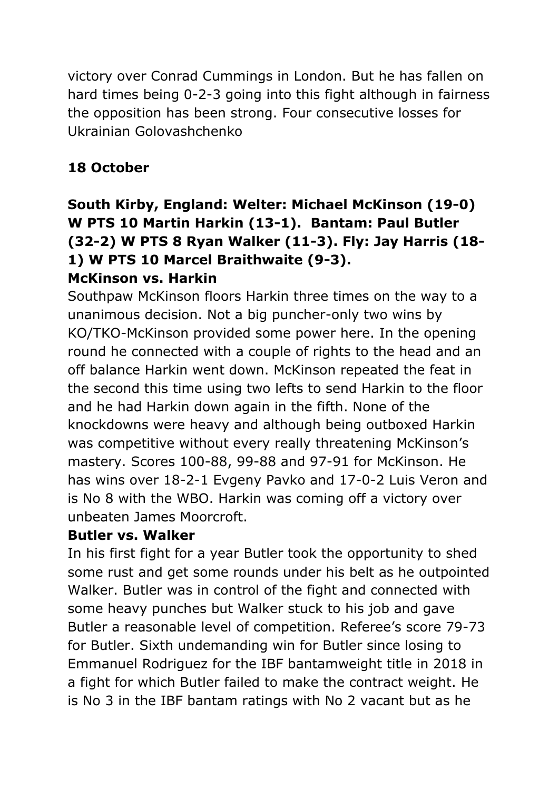victory over Conrad Cummings in London. But he has fallen on hard times being 0-2-3 going into this fight although in fairness the opposition has been strong. Four consecutive losses for Ukrainian Golovashchenko

# **18 October**

# **South Kirby, England: Welter: Michael McKinson (19-0) W PTS 10 Martin Harkin (13-1). Bantam: Paul Butler (32-2) W PTS 8 Ryan Walker (11-3). Fly: Jay Harris (18- 1) W PTS 10 Marcel Braithwaite (9-3).**

# **McKinson vs. Harkin**

Southpaw McKinson floors Harkin three times on the way to a unanimous decision. Not a big puncher-only two wins by KO/TKO-McKinson provided some power here. In the opening round he connected with a couple of rights to the head and an off balance Harkin went down. McKinson repeated the feat in the second this time using two lefts to send Harkin to the floor and he had Harkin down again in the fifth. None of the knockdowns were heavy and although being outboxed Harkin was competitive without every really threatening McKinson's mastery. Scores 100-88, 99-88 and 97-91 for McKinson. He has wins over 18-2-1 Evgeny Pavko and 17-0-2 Luis Veron and is No 8 with the WBO. Harkin was coming off a victory over unbeaten James Moorcroft.

#### **Butler vs. Walker**

In his first fight for a year Butler took the opportunity to shed some rust and get some rounds under his belt as he outpointed Walker. Butler was in control of the fight and connected with some heavy punches but Walker stuck to his job and gave Butler a reasonable level of competition. Referee's score 79-73 for Butler. Sixth undemanding win for Butler since losing to Emmanuel Rodriguez for the IBF bantamweight title in 2018 in a fight for which Butler failed to make the contract weight. He is No 3 in the IBF bantam ratings with No 2 vacant but as he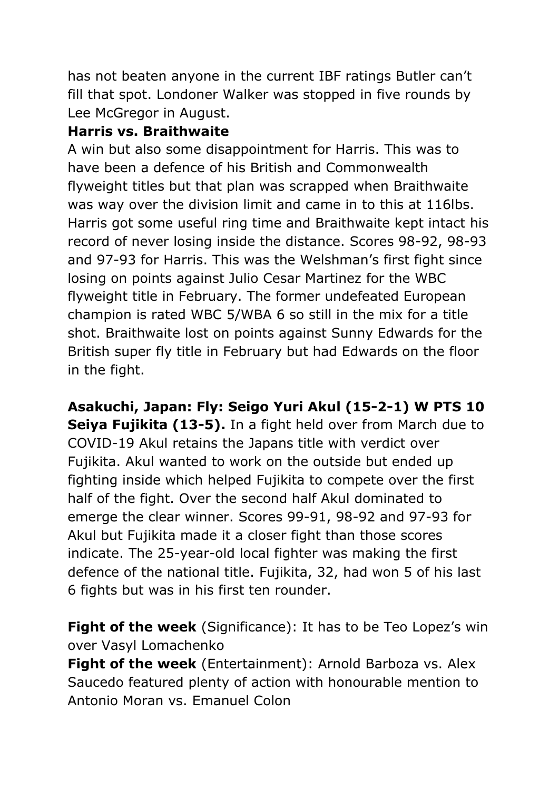has not beaten anyone in the current IBF ratings Butler can't fill that spot. Londoner Walker was stopped in five rounds by Lee McGregor in August.

# **Harris vs. Braithwaite**

A win but also some disappointment for Harris. This was to have been a defence of his British and Commonwealth flyweight titles but that plan was scrapped when Braithwaite was way over the division limit and came in to this at 116lbs. Harris got some useful ring time and Braithwaite kept intact his record of never losing inside the distance. Scores 98-92, 98-93 and 97-93 for Harris. This was the Welshman's first fight since losing on points against Julio Cesar Martinez for the WBC flyweight title in February. The former undefeated European champion is rated WBC 5/WBA 6 so still in the mix for a title shot. Braithwaite lost on points against Sunny Edwards for the British super fly title in February but had Edwards on the floor in the fight.

**Asakuchi, Japan: Fly: Seigo Yuri Akul (15-2-1) W PTS 10 Seiya Fujikita (13-5).** In a fight held over from March due to COVID-19 Akul retains the Japans title with verdict over Fujikita. Akul wanted to work on the outside but ended up fighting inside which helped Fujikita to compete over the first half of the fight. Over the second half Akul dominated to emerge the clear winner. Scores 99-91, 98-92 and 97-93 for Akul but Fujikita made it a closer fight than those scores indicate. The 25-year-old local fighter was making the first defence of the national title. Fujikita, 32, had won 5 of his last 6 fights but was in his first ten rounder.

**Fight of the week** (Significance): It has to be Teo Lopez's win over Vasyl Lomachenko

**Fight of the week** (Entertainment): Arnold Barboza vs. Alex Saucedo featured plenty of action with honourable mention to Antonio Moran vs. Emanuel Colon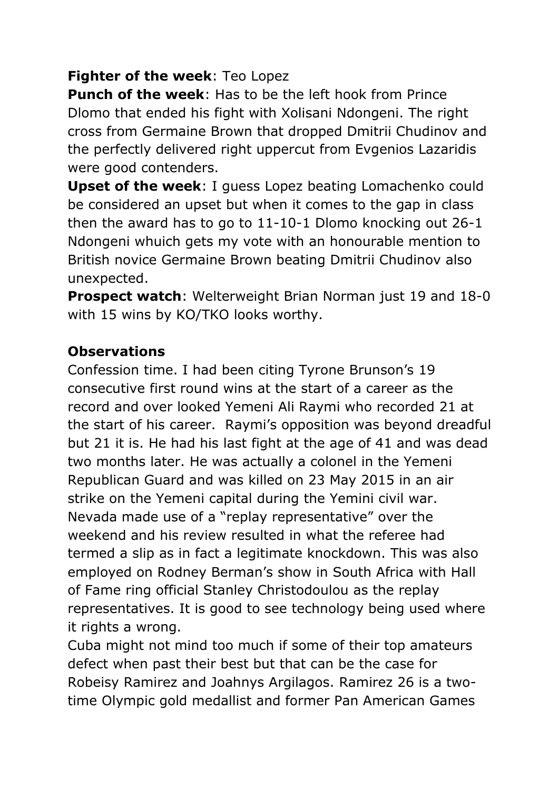#### **Fighter of the week**: Teo Lopez

**Punch of the week**: Has to be the left hook from Prince Dlomo that ended his fight with Xolisani Ndongeni. The right cross from Germaine Brown that dropped Dmitrii Chudinov and the perfectly delivered right uppercut from Evgenios Lazaridis were good contenders.

**Upset of the week**: I guess Lopez beating Lomachenko could be considered an upset but when it comes to the gap in class then the award has to go to 11-10-1 Dlomo knocking out 26-1 Ndongeni whuich gets my vote with an honourable mention to British novice Germaine Brown beating Dmitrii Chudinov also unexpected.

**Prospect watch**: Welterweight Brian Norman just 19 and 18-0 with 15 wins by KO/TKO looks worthy.

#### **Observations**

Confession time. I had been citing Tyrone Brunson's 19 consecutive first round wins at the start of a career as the record and over looked Yemeni Ali Raymi who recorded 21 at the start of his career. Raymi's opposition was beyond dreadful but 21 it is. He had his last fight at the age of 41 and was dead two months later. He was actually a colonel in the Yemeni Republican Guard and was killed on 23 May 2015 in an air strike on the Yemeni capital during the Yemini civil war. Nevada made use of a "replay representative" over the weekend and his review resulted in what the referee had termed a slip as in fact a legitimate knockdown. This was also employed on Rodney Berman's show in South Africa with Hall of Fame ring official Stanley Christodoulou as the replay representatives. It is good to see technology being used where it rights a wrong.

Cuba might not mind too much if some of their top amateurs defect when past their best but that can be the case for Robeisy Ramirez and Joahnys Argilagos. Ramirez 26 is a twotime Olympic gold medallist and former Pan American Games